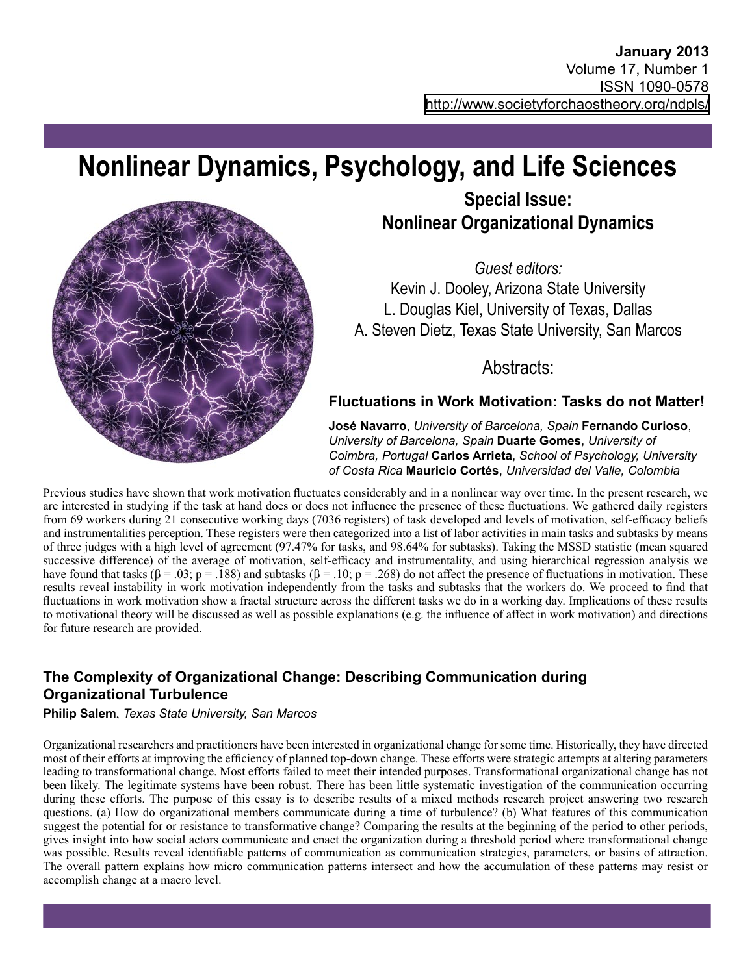# **Nonlinear Dynamics, Psychology, and Life Sciences**



## **Special Issue: Nonlinear Organizational Dynamics**

*Guest editors:*

Kevin J. Dooley, Arizona State University L. Douglas Kiel, University of Texas, Dallas A. Steven Dietz, Texas State University, San Marcos

Abstracts:

## **Fluctuations in Work Motivation: Tasks do not Matter!**

**José Navarro**, *University of Barcelona, Spain* **Fernando Curioso**, *University of Barcelona, Spain* **Duarte Gomes**, *University of Coimbra, Portugal* **Carlos Arrieta**, *School of Psychology, University of Costa Rica* **Mauricio Cortés**, *Universidad del Valle, Colombia*

Previous studies have shown that work motivation fluctuates considerably and in a nonlinear way over time. In the present research, we are interested in studying if the task at hand does or does not influence the presence of these fluctuations. We gathered daily registers from 69 workers during 21 consecutive working days (7036 registers) of task developed and levels of motivation, self-efficacy beliefs and instrumentalities perception. These registers were then categorized into a list of labor activities in main tasks and subtasks by means of three judges with a high level of agreement (97.47% for tasks, and 98.64% for subtasks). Taking the MSSD statistic (mean squared successive difference) of the average of motivation, self-efficacy and instrumentality, and using hierarchical regression analysis we have found that tasks ( $\beta = .03$ ; p = .188) and subtasks ( $\beta = .10$ ; p = .268) do not affect the presence of fluctuations in motivation. These results reveal instability in work motivation independently from the tasks and subtasks that the workers do. We proceed to find that fluctuations in work motivation show a fractal structure across the different tasks we do in a working day. Implications of these results to motivational theory will be discussed as well as possible explanations (e.g. the influence of affect in work motivation) and directions for future research are provided.

## **The Complexity of Organizational Change: Describing Communication during Organizational Turbulence**

#### **Philip Salem**, *Texas State University, San Marcos*

Organizational researchers and practitioners have been interested in organizational change for some time. Historically, they have directed most of their efforts at improving the efficiency of planned top-down change. These efforts were strategic attempts at altering parameters leading to transformational change. Most efforts failed to meet their intended purposes. Transformational organizational change has not been likely. The legitimate systems have been robust. There has been little systematic investigation of the communication occurring during these efforts. The purpose of this essay is to describe results of a mixed methods research project answering two research questions. (a) How do organizational members communicate during a time of turbulence? (b) What features of this communication suggest the potential for or resistance to transformative change? Comparing the results at the beginning of the period to other periods, gives insight into how social actors communicate and enact the organization during a threshold period where transformational change was possible. Results reveal identifiable patterns of communication as communication strategies, parameters, or basins of attraction. The overall pattern explains how micro communication patterns intersect and how the accumulation of these patterns may resist or accomplish change at a macro level.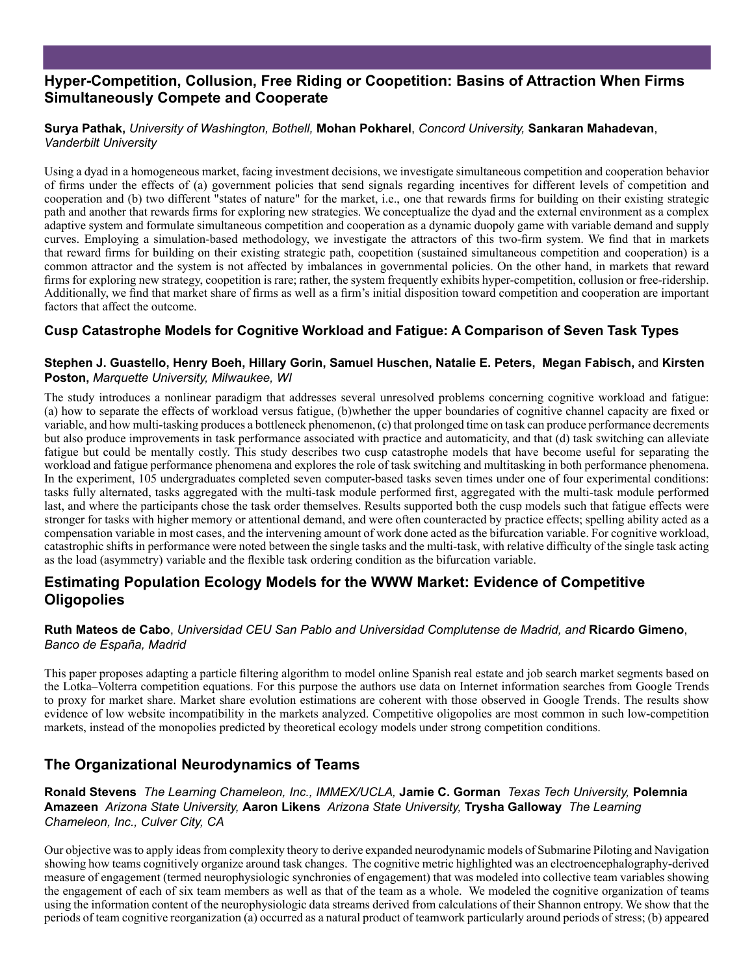## **Hyper-Competition, Collusion, Free Riding or Coopetition: Basins of Attraction When Firms Simultaneously Compete and Cooperate**

#### **Surya Pathak,** *University of Washington, Bothell,* **Mohan Pokharel**, *Concord University,* **Sankaran Mahadevan**, *Vanderbilt University*

Using a dyad in a homogeneous market, facing investment decisions, we investigate simultaneous competition and cooperation behavior of firms under the effects of (a) government policies that send signals regarding incentives for different levels of competition and cooperation and (b) two different "states of nature" for the market, i.e., one that rewards firms for building on their existing strategic path and another that rewards firms for exploring new strategies. We conceptualize the dyad and the external environment as a complex adaptive system and formulate simultaneous competition and cooperation as a dynamic duopoly game with variable demand and supply curves. Employing a simulation-based methodology, we investigate the attractors of this two-firm system. We find that in markets that reward firms for building on their existing strategic path, coopetition (sustained simultaneous competition and cooperation) is a common attractor and the system is not affected by imbalances in governmental policies. On the other hand, in markets that reward firms for exploring new strategy, coopetition is rare; rather, the system frequently exhibits hyper-competition, collusion or free-ridership. Additionally, we find that market share of firms as well as a firm's initial disposition toward competition and cooperation are important factors that affect the outcome.

#### **Cusp Catastrophe Models for Cognitive Workload and Fatigue: A Comparison of Seven Task Types**

#### **Stephen J. Guastello, Henry Boeh, Hillary Gorin, Samuel Huschen, Natalie E. Peters, Megan Fabisch,** and **Kirsten Poston,** *Marquette University, Milwaukee, WI*

The study introduces a nonlinear paradigm that addresses several unresolved problems concerning cognitive workload and fatigue: (a) how to separate the effects of workload versus fatigue, (b)whether the upper boundaries of cognitive channel capacity are fixed or variable, and how multi-tasking produces a bottleneck phenomenon, (c) that prolonged time on task can produce performance decrements but also produce improvements in task performance associated with practice and automaticity, and that (d) task switching can alleviate fatigue but could be mentally costly. This study describes two cusp catastrophe models that have become useful for separating the workload and fatigue performance phenomena and explores the role of task switching and multitasking in both performance phenomena. In the experiment, 105 undergraduates completed seven computer-based tasks seven times under one of four experimental conditions: tasks fully alternated, tasks aggregated with the multi-task module performed first, aggregated with the multi-task module performed last, and where the participants chose the task order themselves. Results supported both the cusp models such that fatigue effects were stronger for tasks with higher memory or attentional demand, and were often counteracted by practice effects; spelling ability acted as a compensation variable in most cases, and the intervening amount of work done acted as the bifurcation variable. For cognitive workload, catastrophic shifts in performance were noted between the single tasks and the multi-task, with relative difficulty of the single task acting as the load (asymmetry) variable and the flexible task ordering condition as the bifurcation variable.

#### **Estimating Population Ecology Models for the WWW Market: Evidence of Competitive Oligopolies**

#### **Ruth Mateos de Cabo**, *Universidad CEU San Pablo and Universidad Complutense de Madrid, and* **Ricardo Gimeno**, *Banco de España, Madrid*

This paper proposes adapting a particle filtering algorithm to model online Spanish real estate and job search market segments based on the Lotka–Volterra competition equations. For this purpose the authors use data on Internet information searches from Google Trends to proxy for market share. Market share evolution estimations are coherent with those observed in Google Trends. The results show evidence of low website incompatibility in the markets analyzed. Competitive oligopolies are most common in such low-competition markets, instead of the monopolies predicted by theoretical ecology models under strong competition conditions.

## **The Organizational Neurodynamics of Teams**

**Ronald Stevens** *The Learning Chameleon, Inc., IMMEX/UCLA,* **Jamie C. Gorman** *Texas Tech University,* **Polemnia Amazeen** *Arizona State University,* **Aaron Likens** *Arizona State University,* **Trysha Galloway** *The Learning Chameleon, Inc., Culver City, CA*

Our objective was to apply ideas from complexity theory to derive expanded neurodynamic models of Submarine Piloting and Navigation showing how teams cognitively organize around task changes. The cognitive metric highlighted was an electroencephalography-derived measure of engagement (termed neurophysiologic synchronies of engagement) that was modeled into collective team variables showing the engagement of each of six team members as well as that of the team as a whole. We modeled the cognitive organization of teams using the information content of the neurophysiologic data streams derived from calculations of their Shannon entropy. We show that the periods of team cognitive reorganization (a) occurred as a natural product of teamwork particularly around periods of stress; (b) appeared